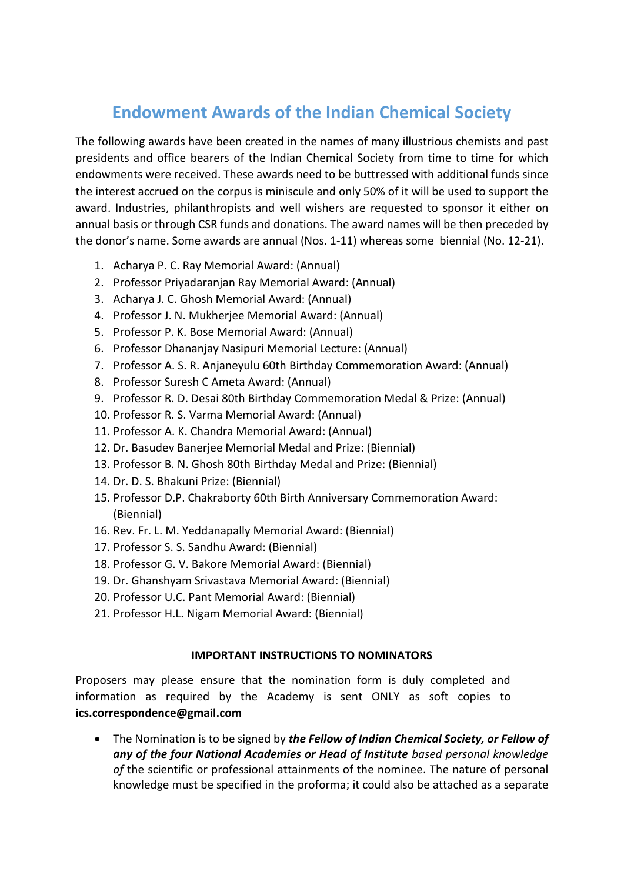## **Endowment Awards of the Indian Chemical Society**

The following awards have been created in the names of many illustrious chemists and past presidents and office bearers of the Indian Chemical Society from time to time for which endowments were received. These awards need to be buttressed with additional funds since the interest accrued on the corpus is miniscule and only 50% of it will be used to support the award. Industries, philanthropists and well wishers are requested to sponsor it either on annual basis or through CSR funds and donations. The award names will be then preceded by the donor's name. Some awards are annual (Nos. 1-11) whereas some biennial (No. 12-21).

- 1. Acharya P. C. Ray Memorial Award: (Annual)
- 2. Professor Priyadaranjan Ray Memorial Award: (Annual)
- 3. Acharya J. C. Ghosh Memorial Award: (Annual)
- 4. Professor J. N. Mukherjee Memorial Award: (Annual)
- 5. Professor P. K. Bose Memorial Award: (Annual)
- 6. Professor Dhananjay Nasipuri Memorial Lecture: (Annual)
- 7. Professor A. S. R. Anjaneyulu 60th Birthday Commemoration Award: (Annual)
- 8. Professor Suresh C Ameta Award: (Annual)
- 9. Professor R. D. Desai 80th Birthday Commemoration Medal & Prize: (Annual)
- 10. Professor R. S. Varma Memorial Award: (Annual)
- 11. Professor A. K. Chandra Memorial Award: (Annual)
- 12. Dr. Basudev Banerjee Memorial Medal and Prize: (Biennial)
- 13. Professor B. N. Ghosh 80th Birthday Medal and Prize: (Biennial)
- 14. Dr. D. S. Bhakuni Prize: (Biennial)
- 15. Professor D.P. Chakraborty 60th Birth Anniversary Commemoration Award: (Biennial)
- 16. Rev. Fr. L. M. Yeddanapally Memorial Award: (Biennial)
- 17. Professor S. S. Sandhu Award: (Biennial)
- 18. Professor G. V. Bakore Memorial Award: (Biennial)
- 19. Dr. Ghanshyam Srivastava Memorial Award: (Biennial)
- 20. Professor U.C. Pant Memorial Award: (Biennial)
- 21. Professor H.L. Nigam Memorial Award: (Biennial)

## **IMPORTANT INSTRUCTIONS TO NOMINATORS**

Proposers may please ensure that the nomination form is duly completed and information as required by the Academy is sent ONLY as soft copies to **ics.correspondence@gmail.com**

• The Nomination is to be signed by *the Fellow of Indian Chemical Society, or Fellow of any of the four National Academies or Head of Institute based personal knowledge of* the scientific or professional attainments of the nominee. The nature of personal knowledge must be specified in the proforma; it could also be attached as a separate